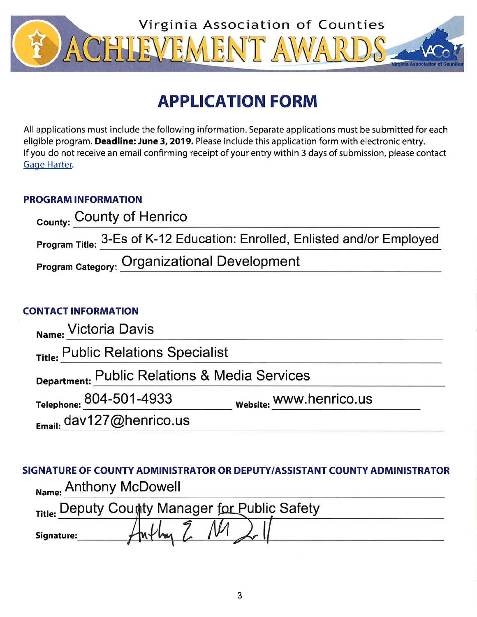

# **APPLICATION FORM**

All applications must include the following information. Separate applications must be submitted for each eligible program. Deadline: June 3, 2019. Please include this application form with electronic entry. If you do not receive an email confirming receipt of your entry within 3 days of submission, please contact Gage Harter.

# **PROGRAM INFORMATION**

| County: County of Henrico |                                                                           |
|---------------------------|---------------------------------------------------------------------------|
|                           | Program Title: 3-Es of K-12 Education: Enrolled, Enlisted and/or Employed |
|                           | <b>Program Category: Organizational Development</b>                       |

## **CONTACT INFORMATION**

| Name: Victoria Davis                          |                         |  |
|-----------------------------------------------|-------------------------|--|
| Title: Public Relations Specialist            |                         |  |
| Department: Public Relations & Media Services |                         |  |
| Telephone: 804-501-4933                       | website: WWW.henrico.us |  |
| $_{E_{\text{mail}}}$ dav127@henrico.us        |                         |  |

SIGNATURE OF COUNTY ADMINISTRATOR OR DEPUTY/ASSISTANT COUNTY ADMINISTRATOR Name: Anthony McDowell

| Title: Deputy County Manager for Public Safety |  |  |
|------------------------------------------------|--|--|
| Signature:                                     |  |  |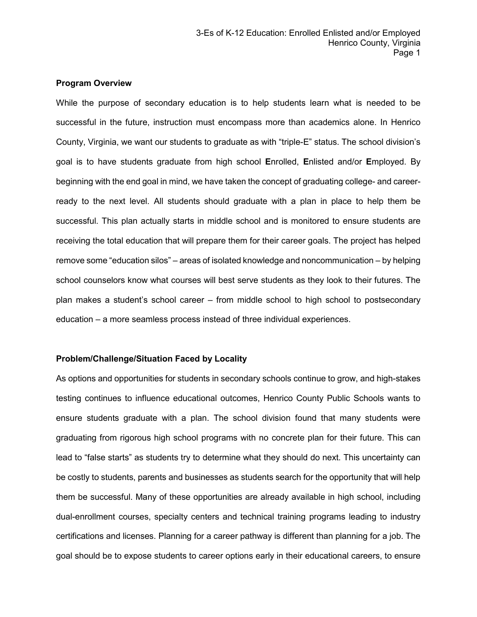#### **Program Overview**

While the purpose of secondary education is to help students learn what is needed to be successful in the future, instruction must encompass more than academics alone. In Henrico County, Virginia, we want our students to graduate as with "triple-E" status. The school division's goal is to have students graduate from high school **E**nrolled, **E**nlisted and/or **E**mployed. By beginning with the end goal in mind, we have taken the concept of graduating college- and careerready to the next level. All students should graduate with a plan in place to help them be successful. This plan actually starts in middle school and is monitored to ensure students are receiving the total education that will prepare them for their career goals. The project has helped remove some "education silos" – areas of isolated knowledge and noncommunication – by helping school counselors know what courses will best serve students as they look to their futures. The plan makes a student's school career – from middle school to high school to postsecondary education – a more seamless process instead of three individual experiences.

#### **Problem/Challenge/Situation Faced by Locality**

As options and opportunities for students in secondary schools continue to grow, and high-stakes testing continues to influence educational outcomes, Henrico County Public Schools wants to ensure students graduate with a plan. The school division found that many students were graduating from rigorous high school programs with no concrete plan for their future. This can lead to "false starts" as students try to determine what they should do next. This uncertainty can be costly to students, parents and businesses as students search for the opportunity that will help them be successful. Many of these opportunities are already available in high school, including dual-enrollment courses, specialty centers and technical training programs leading to industry certifications and licenses. Planning for a career pathway is different than planning for a job. The goal should be to expose students to career options early in their educational careers, to ensure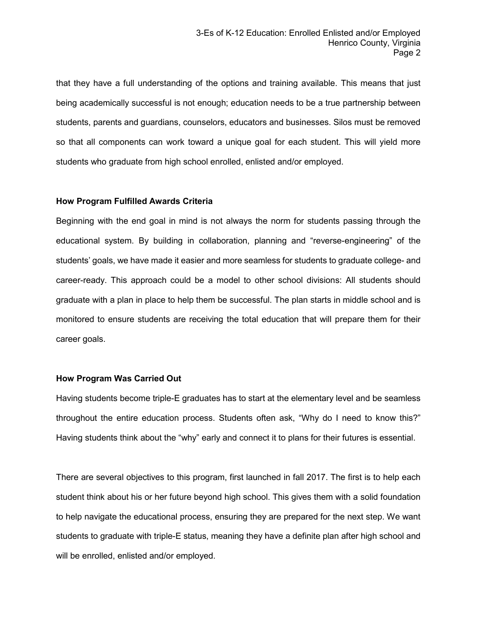that they have a full understanding of the options and training available. This means that just being academically successful is not enough; education needs to be a true partnership between students, parents and guardians, counselors, educators and businesses. Silos must be removed so that all components can work toward a unique goal for each student. This will yield more students who graduate from high school enrolled, enlisted and/or employed.

#### **How Program Fulfilled Awards Criteria**

Beginning with the end goal in mind is not always the norm for students passing through the educational system. By building in collaboration, planning and "reverse-engineering" of the students' goals, we have made it easier and more seamless for students to graduate college- and career-ready. This approach could be a model to other school divisions: All students should graduate with a plan in place to help them be successful. The plan starts in middle school and is monitored to ensure students are receiving the total education that will prepare them for their career goals.

#### **How Program Was Carried Out**

Having students become triple-E graduates has to start at the elementary level and be seamless throughout the entire education process. Students often ask, "Why do I need to know this?" Having students think about the "why" early and connect it to plans for their futures is essential.

There are several objectives to this program, first launched in fall 2017. The first is to help each student think about his or her future beyond high school. This gives them with a solid foundation to help navigate the educational process, ensuring they are prepared for the next step. We want students to graduate with triple-E status, meaning they have a definite plan after high school and will be enrolled, enlisted and/or employed.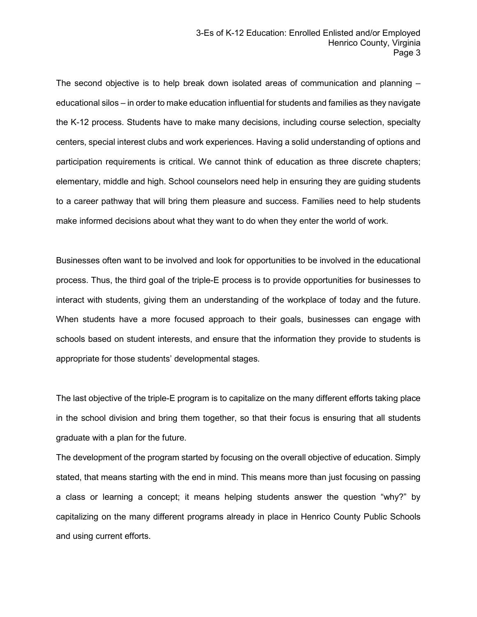The second objective is to help break down isolated areas of communication and planning – educational silos – in order to make education influential for students and families as they navigate the K-12 process. Students have to make many decisions, including course selection, specialty centers, special interest clubs and work experiences. Having a solid understanding of options and participation requirements is critical. We cannot think of education as three discrete chapters; elementary, middle and high. School counselors need help in ensuring they are guiding students to a career pathway that will bring them pleasure and success. Families need to help students make informed decisions about what they want to do when they enter the world of work.

Businesses often want to be involved and look for opportunities to be involved in the educational process. Thus, the third goal of the triple-E process is to provide opportunities for businesses to interact with students, giving them an understanding of the workplace of today and the future. When students have a more focused approach to their goals, businesses can engage with schools based on student interests, and ensure that the information they provide to students is appropriate for those students' developmental stages.

The last objective of the triple-E program is to capitalize on the many different efforts taking place in the school division and bring them together, so that their focus is ensuring that all students graduate with a plan for the future.

The development of the program started by focusing on the overall objective of education. Simply stated, that means starting with the end in mind. This means more than just focusing on passing a class or learning a concept; it means helping students answer the question "why?" by capitalizing on the many different programs already in place in Henrico County Public Schools and using current efforts.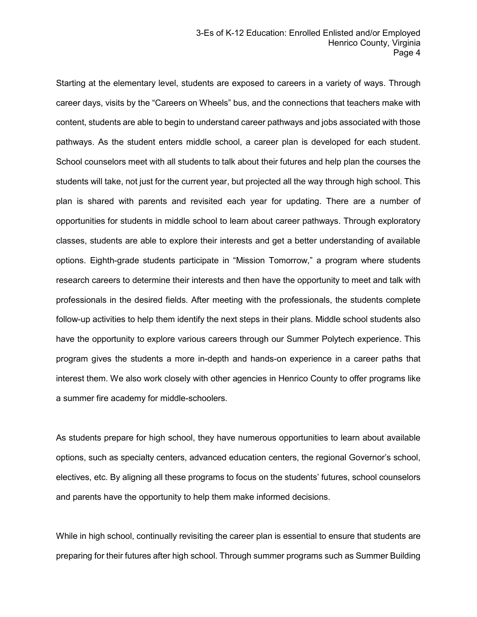Starting at the elementary level, students are exposed to careers in a variety of ways. Through career days, visits by the "Careers on Wheels" bus, and the connections that teachers make with content, students are able to begin to understand career pathways and jobs associated with those pathways. As the student enters middle school, a career plan is developed for each student. School counselors meet with all students to talk about their futures and help plan the courses the students will take, not just for the current year, but projected all the way through high school. This plan is shared with parents and revisited each year for updating. There are a number of opportunities for students in middle school to learn about career pathways. Through exploratory classes, students are able to explore their interests and get a better understanding of available options. Eighth-grade students participate in "Mission Tomorrow," a program where students research careers to determine their interests and then have the opportunity to meet and talk with professionals in the desired fields. After meeting with the professionals, the students complete follow-up activities to help them identify the next steps in their plans. Middle school students also have the opportunity to explore various careers through our Summer Polytech experience. This program gives the students a more in-depth and hands-on experience in a career paths that interest them. We also work closely with other agencies in Henrico County to offer programs like a summer fire academy for middle-schoolers.

As students prepare for high school, they have numerous opportunities to learn about available options, such as specialty centers, advanced education centers, the regional Governor's school, electives, etc. By aligning all these programs to focus on the students' futures, school counselors and parents have the opportunity to help them make informed decisions.

While in high school, continually revisiting the career plan is essential to ensure that students are preparing for their futures after high school. Through summer programs such as Summer Building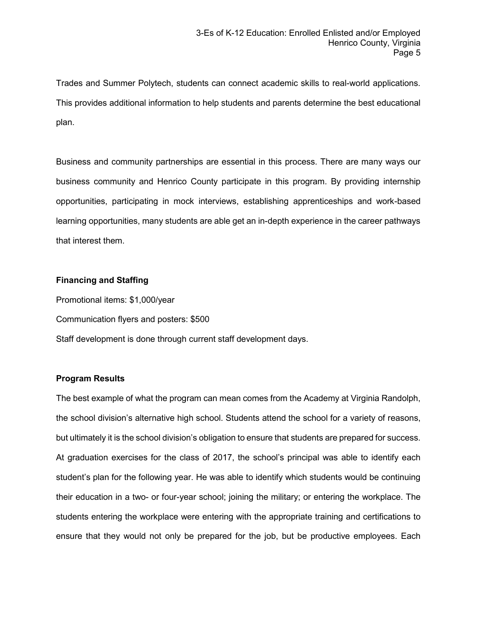Trades and Summer Polytech, students can connect academic skills to real-world applications. This provides additional information to help students and parents determine the best educational plan.

Business and community partnerships are essential in this process. There are many ways our business community and Henrico County participate in this program. By providing internship opportunities, participating in mock interviews, establishing apprenticeships and work-based learning opportunities, many students are able get an in-depth experience in the career pathways that interest them.

### **Financing and Staffing**

Promotional items: \$1,000/year

Communication flyers and posters: \$500

Staff development is done through current staff development days.

## **Program Results**

The best example of what the program can mean comes from the Academy at Virginia Randolph, the school division's alternative high school. Students attend the school for a variety of reasons, but ultimately it is the school division's obligation to ensure that students are prepared for success. At graduation exercises for the class of 2017, the school's principal was able to identify each student's plan for the following year. He was able to identify which students would be continuing their education in a two- or four-year school; joining the military; or entering the workplace. The students entering the workplace were entering with the appropriate training and certifications to ensure that they would not only be prepared for the job, but be productive employees. Each